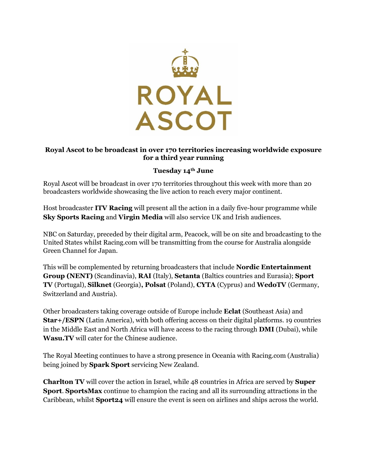

## **Royal Ascot to be broadcast in over 170 territories increasing worldwide exposure for a third year running**

## **Tuesday 14th June**

Royal Ascot will be broadcast in over 170 territories throughout this week with more than 20 broadcasters worldwide showcasing the live action to reach every major continent.

Host broadcaster **ITV Racing** will present all the action in a daily five-hour programme while **Sky Sports Racing** and **Virgin Media** will also service UK and Irish audiences.

NBC on Saturday, preceded by their digital arm, Peacock, will be on site and broadcasting to the United States whilst Racing.com will be transmitting from the course for Australia alongside Green Channel for Japan.

This will be complemented by returning broadcasters that include **Nordic Entertainment Group (NENT)** (Scandinavia), **RAI** (Italy), **Setanta** (Baltics countries and Eurasia); **Sport TV** (Portugal), **Silknet** (Georgia)**, Polsat** (Poland), **CYTA** (Cyprus) and **WedoTV** (Germany, Switzerland and Austria).

Other broadcasters taking coverage outside of Europe include **Eclat** (Southeast Asia) and **Star+/ESPN** (Latin America), with both offering access on their digital platforms. 19 countries in the Middle East and North Africa will have access to the racing through **DMI** (Dubai), while **Wasu.TV** will cater for the Chinese audience.

The Royal Meeting continues to have a strong presence in Oceania with Racing.com (Australia) being joined by **Spark Sport** servicing New Zealand.

**Charlton TV** will cover the action in Israel, while 48 countries in Africa are served by **Super Sport**. **SportsMax** continue to champion the racing and all its surrounding attractions in the Caribbean, whilst **Sport24** will ensure the event is seen on airlines and ships across the world.